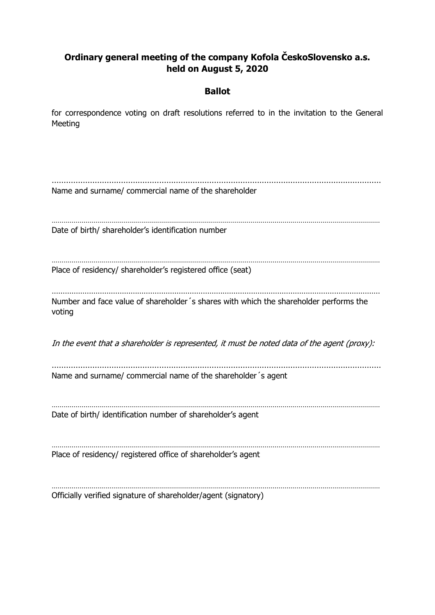## **Ordinary general meeting of the company Kofola ČeskoSlovensko a.s. held on August 5, 2020**

### **Ballot**

for correspondence voting on draft resolutions referred to in the invitation to the General Meeting

………………………………………………………………………………………………………………………… Name and surname/ commercial name of the shareholder ………………………………………………………………………………………………………………………………………………… Date of birth/ shareholder's identification number ………………………………………………………………………………………………………………………………………………… Place of residency/ shareholder's registered office (seat) …………………………………………………………………………………………………………………………………… Number and face value of shareholder´s shares with which the shareholder performs the voting In the event that a shareholder is represented, it must be noted data of the agent (proxy): ………………………………………………………………………………………………………………………… Name and surname/ commercial name of the shareholder´s agent ………………………………………………………………………………………………………………………………………………… Date of birth/ identification number of shareholder's agent . The same independent of the same independent of the same independent of the same independent of the same independent of the same independent of the same independent of the same independent of the same independent of the Place of residency/ registered office of shareholder's agent ………………………………………………………………………………………………………………………………………………… Officially verified signature of shareholder/agent (signatory)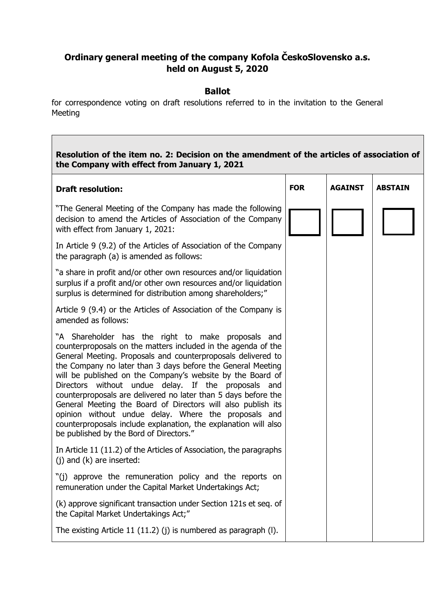# **Ordinary general meeting of the company Kofola ČeskoSlovensko a.s. held on August 5, 2020**

### **Ballot**

for correspondence voting on draft resolutions referred to in the invitation to the General Meeting

| Resolution of the item no. 2: Decision on the amendment of the articles of association of<br>the Company with effect from January 1, 2021                                                                                                                                                                                                                                                                                                                                                                                                                                                                                                                                       |            |                |                |
|---------------------------------------------------------------------------------------------------------------------------------------------------------------------------------------------------------------------------------------------------------------------------------------------------------------------------------------------------------------------------------------------------------------------------------------------------------------------------------------------------------------------------------------------------------------------------------------------------------------------------------------------------------------------------------|------------|----------------|----------------|
| <b>Draft resolution:</b>                                                                                                                                                                                                                                                                                                                                                                                                                                                                                                                                                                                                                                                        | <b>FOR</b> | <b>AGAINST</b> | <b>ABSTAIN</b> |
| "The General Meeting of the Company has made the following<br>decision to amend the Articles of Association of the Company<br>with effect from January 1, 2021:                                                                                                                                                                                                                                                                                                                                                                                                                                                                                                                 |            |                |                |
| In Article 9 (9.2) of the Articles of Association of the Company<br>the paragraph (a) is amended as follows:                                                                                                                                                                                                                                                                                                                                                                                                                                                                                                                                                                    |            |                |                |
| "a share in profit and/or other own resources and/or liquidation<br>surplus if a profit and/or other own resources and/or liquidation<br>surplus is determined for distribution among shareholders;"                                                                                                                                                                                                                                                                                                                                                                                                                                                                            |            |                |                |
| Article 9 (9.4) or the Articles of Association of the Company is<br>amended as follows:                                                                                                                                                                                                                                                                                                                                                                                                                                                                                                                                                                                         |            |                |                |
| "A Shareholder has the right to make proposals and<br>counterproposals on the matters included in the agenda of the<br>General Meeting. Proposals and counterproposals delivered to<br>the Company no later than 3 days before the General Meeting<br>will be published on the Company's website by the Board of<br>Directors without undue delay. If the proposals and<br>counterproposals are delivered no later than 5 days before the<br>General Meeting the Board of Directors will also publish its<br>opinion without undue delay. Where the proposals and<br>counterproposals include explanation, the explanation will also<br>be published by the Bord of Directors." |            |                |                |
| In Article 11 (11.2) of the Articles of Association, the paragraphs<br>$(j)$ and $(k)$ are inserted:                                                                                                                                                                                                                                                                                                                                                                                                                                                                                                                                                                            |            |                |                |
| "(j) approve the remuneration policy and the reports on<br>remuneration under the Capital Market Undertakings Act;                                                                                                                                                                                                                                                                                                                                                                                                                                                                                                                                                              |            |                |                |
| (k) approve significant transaction under Section 121s et seq. of<br>the Capital Market Undertakings Act;"                                                                                                                                                                                                                                                                                                                                                                                                                                                                                                                                                                      |            |                |                |
| The existing Article 11 $(11.2)$ (j) is numbered as paragraph $(l)$ .                                                                                                                                                                                                                                                                                                                                                                                                                                                                                                                                                                                                           |            |                |                |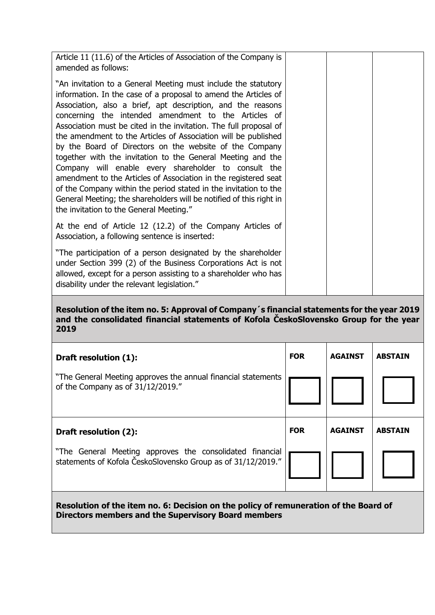| Article 11 (11.6) of the Articles of Association of the Company is<br>amended as follows:                                                                                                                                                                                                                                                                                                                                                                                                                                                                                                                                                                                                                                                                                                                                                  |  |  |
|--------------------------------------------------------------------------------------------------------------------------------------------------------------------------------------------------------------------------------------------------------------------------------------------------------------------------------------------------------------------------------------------------------------------------------------------------------------------------------------------------------------------------------------------------------------------------------------------------------------------------------------------------------------------------------------------------------------------------------------------------------------------------------------------------------------------------------------------|--|--|
| "An invitation to a General Meeting must include the statutory<br>information. In the case of a proposal to amend the Articles of<br>Association, also a brief, apt description, and the reasons<br>concerning the intended amendment to the Articles of<br>Association must be cited in the invitation. The full proposal of<br>the amendment to the Articles of Association will be published<br>by the Board of Directors on the website of the Company<br>together with the invitation to the General Meeting and the<br>Company will enable every shareholder to consult the<br>amendment to the Articles of Association in the registered seat<br>of the Company within the period stated in the invitation to the<br>General Meeting; the shareholders will be notified of this right in<br>the invitation to the General Meeting." |  |  |
| At the end of Article 12 (12.2) of the Company Articles of<br>Association, a following sentence is inserted:                                                                                                                                                                                                                                                                                                                                                                                                                                                                                                                                                                                                                                                                                                                               |  |  |
| "The participation of a person designated by the shareholder<br>under Section 399 (2) of the Business Corporations Act is not<br>allowed, except for a person assisting to a shareholder who has<br>disability under the relevant legislation."                                                                                                                                                                                                                                                                                                                                                                                                                                                                                                                                                                                            |  |  |

#### **Resolution of the item no. 5: Approval of Company´s financial statements for the year 2019 and the consolidated financial statements of Kofola ČeskoSlovensko Group for the year 2019**

| Draft resolution (1):                                                                                                    | <b>FOR</b> | <b>AGAINST</b> | <b>ABSTAIN</b> |
|--------------------------------------------------------------------------------------------------------------------------|------------|----------------|----------------|
| "The General Meeting approves the annual financial statements<br>of the Company as of 31/12/2019."                       |            |                |                |
| Draft resolution (2):                                                                                                    | <b>FOR</b> | <b>AGAINST</b> | <b>ABSTAIN</b> |
| "The General Meeting approves the consolidated financial<br>statements of Kofola ČeskoSlovensko Group as of 31/12/2019." |            |                |                |

**Resolution of the item no. 6: Decision on the policy of remuneration of the Board of Directors members and the Supervisory Board members**